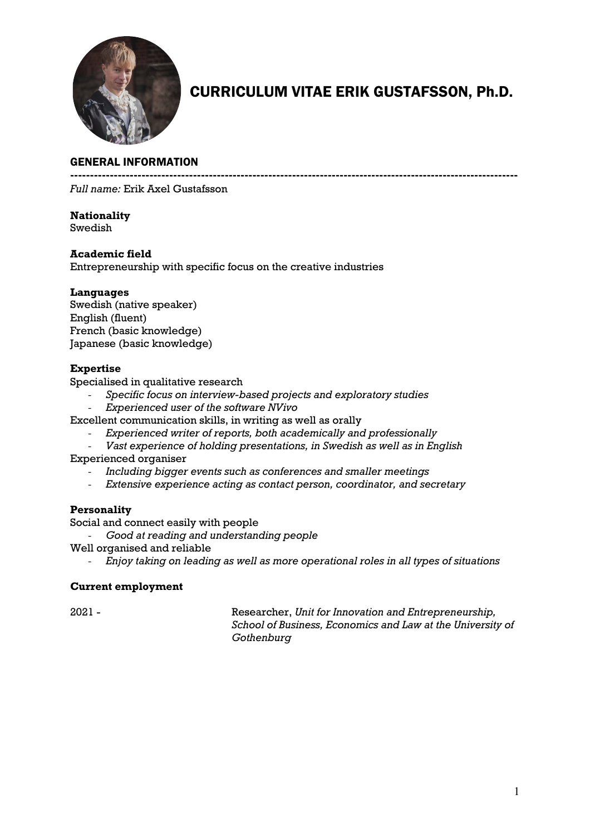

# CURRICULUM VITAE ERIK GUSTAFSSON, Ph.D.

#### GENERAL INFORMATION

**-----------------------------------------------------------------------------------------------------------------**

*Full name:* Erik Axel Gustafsson

## **Nationality**

Swedish

#### **Academic field**

Entrepreneurship with specific focus on the creative industries

#### **Languages**

Swedish (native speaker) English (fluent) French (basic knowledge) Japanese (basic knowledge)

#### **Expertise**

Specialised in qualitative research

- *Specific focus on interview-based projects and exploratory studies*
- *Experienced user of the software NVivo*

Excellent communication skills, in writing as well as orally

- *Experienced writer of reports, both academically and professionally*
- *Vast experience of holding presentations, in Swedish as well as in English* Experienced organiser
	- *Including bigger events such as conferences and smaller meetings*
	- *Extensive experience acting as contact person, coordinator, and secretary*

#### **Personality**

Social and connect easily with people

- *Good at reading and understanding people*
- Well organised and reliable
	- *Enjoy taking on leading as well as more operational roles in all types of situations*

#### **Current employment**

2021 - Researcher, *Unit for Innovation and Entrepreneurship, School of Business, Economics and Law at the University of Gothenburg*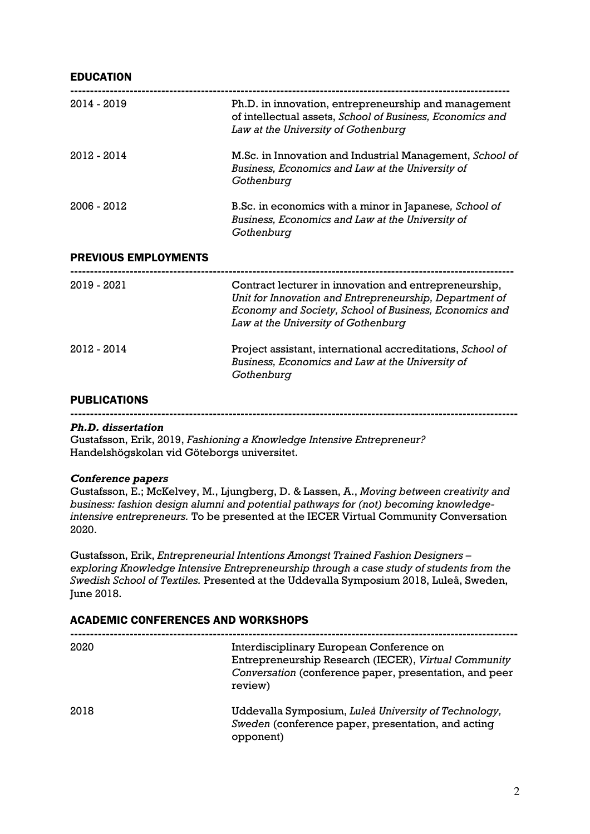#### EDUCATION

| 2014 - 2019                 | Ph.D. in innovation, entrepreneurship and management<br>of intellectual assets, School of Business, Economics and<br>Law at the University of Gothenburg                                                          |
|-----------------------------|-------------------------------------------------------------------------------------------------------------------------------------------------------------------------------------------------------------------|
| 2012 - 2014                 | M.Sc. in Innovation and Industrial Management, School of<br>Business, Economics and Law at the University of<br>Gothenburg                                                                                        |
| 2006 - 2012                 | B.Sc. in economics with a minor in Japanese, School of<br>Business, Economics and Law at the University of<br>Gothenburg                                                                                          |
| <b>PREVIOUS EMPLOYMENTS</b> |                                                                                                                                                                                                                   |
| 2019 - 2021                 | Contract lecturer in innovation and entrepreneurship,<br>Unit for Innovation and Entrepreneurship, Department of<br>Economy and Society, School of Business, Economics and<br>Law at the University of Gothenburg |
| 2012 - 2014                 | Project assistant, international accreditations, School of<br>Business, Economics and Law at the University of<br>Gothenburg                                                                                      |

#### **PUBLICATIONS**

**-----------------------------------------------------------------------------------------------------------------**

#### *Ph.D. dissertation*

Gustafsson, Erik, 2019, *Fashioning a Knowledge Intensive Entrepreneur?* Handelshögskolan vid Göteborgs universitet.

#### *Conference papers*

Gustafsson, E.; McKelvey, M., Ljungberg, D. & Lassen, A., *Moving between creativity and business: fashion design alumni and potential pathways for (not) becoming knowledgeintensive entrepreneurs.* To be presented at the IECER Virtual Community Conversation 2020.

Gustafsson, Erik, *Entrepreneurial Intentions Amongst Trained Fashion Designers – exploring Knowledge Intensive Entrepreneurship through a case study of students from the Swedish School of Textiles.* Presented at the Uddevalla Symposium 2018, Luleå, Sweden, June 2018.

#### ACADEMIC CONFERENCES AND WORKSHOPS

| 2020 | Interdisciplinary European Conference on<br>Entrepreneurship Research (IECER), Virtual Community<br>Conversation (conference paper, presentation, and peer<br>review) |
|------|-----------------------------------------------------------------------------------------------------------------------------------------------------------------------|
| 2018 | Uddevalla Symposium, Luleå University of Technology,<br>Sweden (conference paper, presentation, and acting<br>opponent)                                               |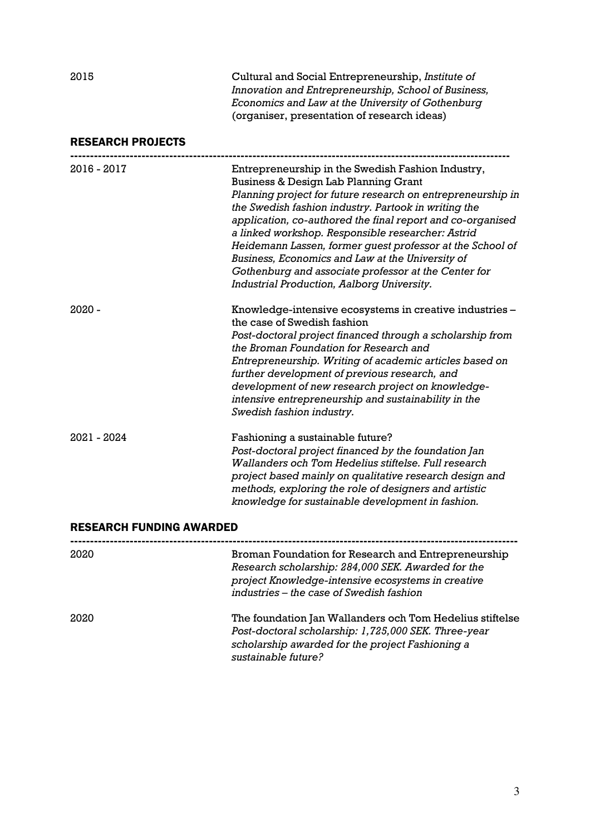2015 Cultural and Social Entrepreneurship, *Institute of Innovation and Entrepreneurship, School of Business, Economics and Law at the University of Gothenburg* (organiser, presentation of research ideas)

#### RESEARCH PROJECTS

| 2016 - 2017                     | Entrepreneurship in the Swedish Fashion Industry,<br>Business & Design Lab Planning Grant<br>Planning project for future research on entrepreneurship in<br>the Swedish fashion industry. Partook in writing the<br>application, co-authored the final report and co-organised<br>a linked workshop. Responsible researcher: Astrid<br>Heidemann Lassen, former guest professor at the School of<br>Business, Economics and Law at the University of<br>Gothenburg and associate professor at the Center for<br>Industrial Production, Aalborg University. |
|---------------------------------|------------------------------------------------------------------------------------------------------------------------------------------------------------------------------------------------------------------------------------------------------------------------------------------------------------------------------------------------------------------------------------------------------------------------------------------------------------------------------------------------------------------------------------------------------------|
| 2020 -                          | Knowledge-intensive ecosystems in creative industries -<br>the case of Swedish fashion<br>Post-doctoral project financed through a scholarship from<br>the Broman Foundation for Research and<br>Entrepreneurship. Writing of academic articles based on<br>further development of previous research, and<br>development of new research project on knowledge-<br>intensive entrepreneurship and sustainability in the<br>Swedish fashion industry.                                                                                                        |
| 2021 - 2024                     | Fashioning a sustainable future?<br>Post-doctoral project financed by the foundation Jan<br>Wallanders och Tom Hedelius stiftelse. Full research<br>project based mainly on qualitative research design and<br>methods, exploring the role of designers and artistic<br>knowledge for sustainable development in fashion.                                                                                                                                                                                                                                  |
| <b>RESEARCH FUNDING AWARDED</b> |                                                                                                                                                                                                                                                                                                                                                                                                                                                                                                                                                            |

| 2020 | Broman Foundation for Research and Entrepreneurship<br>Research scholarship: 284,000 SEK. Awarded for the<br>project Knowledge-intensive ecosystems in creative<br>industries - the case of Swedish fashion |
|------|-------------------------------------------------------------------------------------------------------------------------------------------------------------------------------------------------------------|
| 2020 | The foundation Jan Wallanders och Tom Hedelius stiftelse<br>Post-doctoral scholarship: 1,725,000 SEK. Three-year<br>scholarship awarded for the project Fashioning a<br>sustainable future?                 |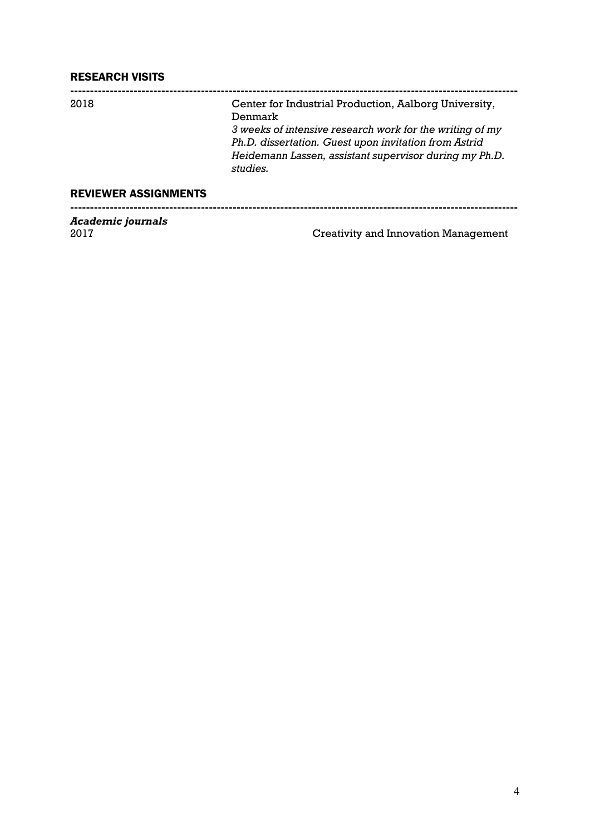### RESEARCH VISITS

| Center for Industrial Production, Aalborg University,<br>Denmark<br>3 weeks of intensive research work for the writing of my<br>Ph.D. dissertation. Guest upon invitation from Astrid<br>Heidemann Lassen, assistant supervisor during my Ph.D.<br>studies. | Total control comments      |  |
|-------------------------------------------------------------------------------------------------------------------------------------------------------------------------------------------------------------------------------------------------------------|-----------------------------|--|
|                                                                                                                                                                                                                                                             | <b>REVIEWER ASSIGNMENTS</b> |  |
|                                                                                                                                                                                                                                                             | 2018                        |  |

*Academic journals*

Creativity and Innovation Management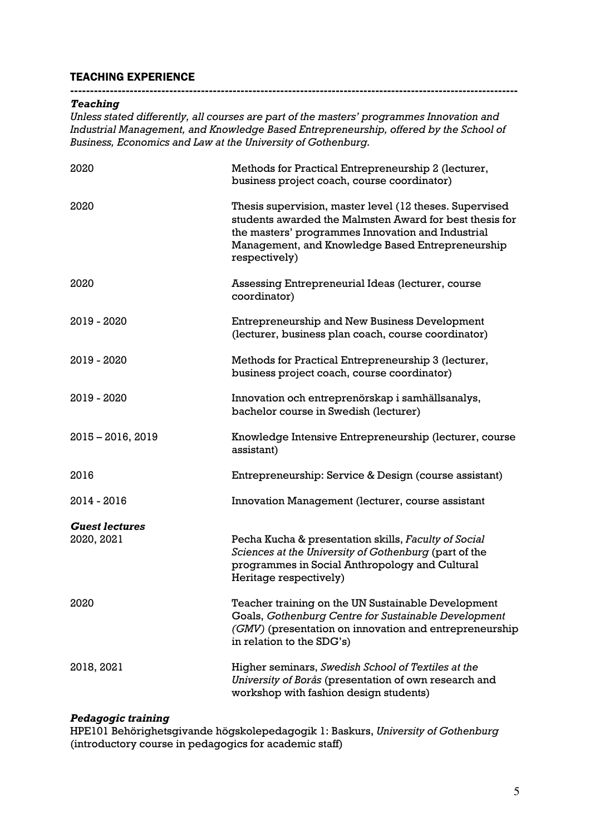### TEACHING EXPERIENCE

#### *Teaching*

*Unless stated differently, all courses are part of the masters' programmes Innovation and Industrial Management, and Knowledge Based Entrepreneurship, offered by the School of Business, Economics and Law at the University of Gothenburg.*

**-----------------------------------------------------------------------------------------------------------------**

| 2020                  | Methods for Practical Entrepreneurship 2 (lecturer,<br>business project coach, course coordinator)                                                                                                                                           |
|-----------------------|----------------------------------------------------------------------------------------------------------------------------------------------------------------------------------------------------------------------------------------------|
| 2020                  | Thesis supervision, master level (12 theses. Supervised<br>students awarded the Malmsten Award for best thesis for<br>the masters' programmes Innovation and Industrial<br>Management, and Knowledge Based Entrepreneurship<br>respectively) |
| 2020                  | Assessing Entrepreneurial Ideas (lecturer, course<br>coordinator)                                                                                                                                                                            |
| 2019 - 2020           | Entrepreneurship and New Business Development<br>(lecturer, business plan coach, course coordinator)                                                                                                                                         |
| 2019 - 2020           | Methods for Practical Entrepreneurship 3 (lecturer,<br>business project coach, course coordinator)                                                                                                                                           |
| 2019 - 2020           | Innovation och entreprenörskap i samhällsanalys,<br>bachelor course in Swedish (lecturer)                                                                                                                                                    |
| $2015 - 2016, 2019$   | Knowledge Intensive Entrepreneurship (lecturer, course<br>assistant)                                                                                                                                                                         |
| 2016                  | Entrepreneurship: Service & Design (course assistant)                                                                                                                                                                                        |
| 2014 - 2016           | Innovation Management (lecturer, course assistant                                                                                                                                                                                            |
| <b>Guest lectures</b> |                                                                                                                                                                                                                                              |
| 2020, 2021            | Pecha Kucha & presentation skills, Faculty of Social<br>Sciences at the University of Gothenburg (part of the<br>programmes in Social Anthropology and Cultural<br>Heritage respectively)                                                    |
| 2020                  | Teacher training on the UN Sustainable Development<br>Goals, Gothenburg Centre for Sustainable Development<br>(GMV) (presentation on innovation and entrepreneurship<br>in relation to the SDG's)                                            |
| 2018, 2021            | Higher seminars, Swedish School of Textiles at the<br>University of Borås (presentation of own research and<br>workshop with fashion design students)                                                                                        |

#### *Pedagogic training*

HPE101 Behörighetsgivande högskolepedagogik 1: Baskurs, *University of Gothenburg*  (introductory course in pedagogics for academic staff)